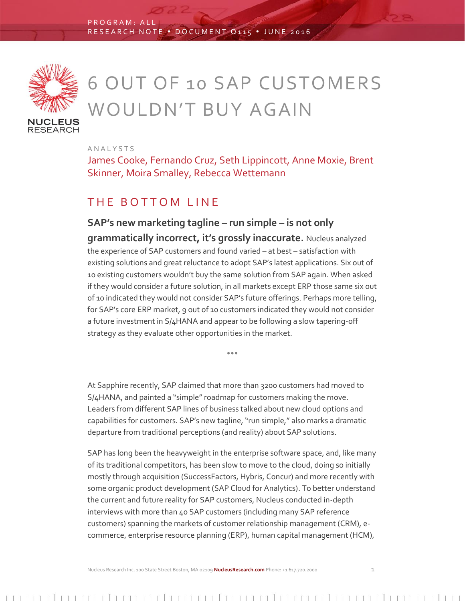

# 6 OUT OF 10 SAP CUSTOMERS WOULDN'T BUY AGAIN

A N A L Y S T S

James Cooke, Fernando Cruz, Seth Lippincott, Anne Moxie, Brent Skinner, Moira Smalley, Rebecca Wettemann

#### THE BOTTOM LINE

**SAP's new marketing tagline – run simple – is not only grammatically incorrect, it's grossly inaccurate.** Nucleus analyzed the experience of SAP customers and found varied – at best – satisfaction with existing solutions and great reluctance to adopt SAP's latest applications. Six out of 10 existing customers wouldn't buy the same solution from SAP again. When asked if they would consider a future solution, in all markets except ERP those same six out of 10 indicated they would not consider SAP's future offerings. Perhaps more telling, for SAP's core ERP market, 9 out of 10 customers indicated they would not consider a future investment in S/4HANA and appear to be following a slow tapering-off strategy as they evaluate other opportunities in the market.

At Sapphire recently, SAP claimed that more than 3200 customers had moved to S/4HANA, and painted a "simple" roadmap for customers making the move. Leaders from different SAP lines of business talked about new cloud options and capabilities for customers. SAP's new tagline, "run simple," also marks a dramatic departure from traditional perceptions (and reality) about SAP solutions.

 $\bullet$   $\bullet$   $\bullet$ 

SAP has long been the heavyweight in the enterprise software space, and, like many of its traditional competitors, has been slow to move to the cloud, doing so initially mostly through acquisition (SuccessFactors, Hybris, Concur) and more recently with some organic product development (SAP Cloud for Analytics). To better understand the current and future reality for SAP customers, Nucleus conducted in-depth interviews with more than 40 SAP customers (including many SAP reference customers) spanning the markets of customer relationship management (CRM), ecommerce, enterprise resource planning (ERP), human capital management (HCM),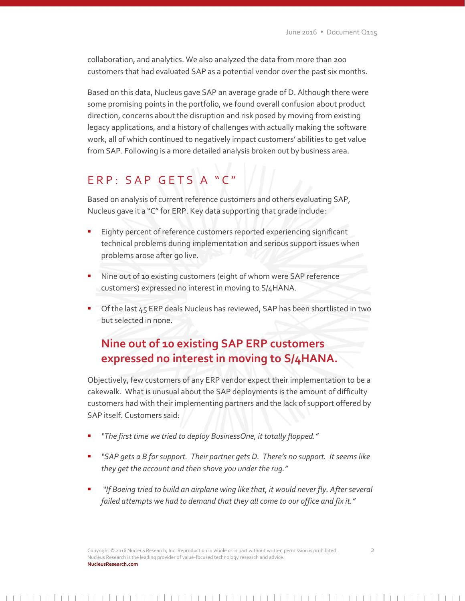collaboration, and analytics. We also analyzed the data from more than 200 customers that had evaluated SAP as a potential vendor over the past six months.

Based on this data, Nucleus gave SAP an average grade of D. Although there were some promising points in the portfolio, we found overall confusion about product direction, concerns about the disruption and risk posed by moving from existing legacy applications, and a history of challenges with actually making the software work, all of which continued to negatively impact customers' abilities to get value from SAP. Following is a more detailed analysis broken out by business area.

## ERP: SAP GETS A "C"

Based on analysis of current reference customers and others evaluating SAP, Nucleus gave it a "C" for ERP. Key data supporting that grade include:

- Eighty percent of reference customers reported experiencing significant technical problems during implementation and serious support issues when problems arose after go live.
- Nine out of 10 existing customers (eight of whom were SAP reference customers) expressed no interest in moving to S/4HANA.
- Of the last 45 ERP deals Nucleus has reviewed, SAP has been shortlisted in two but selected in none.

## **Nine out of 10 existing SAP ERP customers expressed no interest in moving to S/4HANA.**

Objectively, few customers of any ERP vendor expect their implementation to be a cakewalk. What is unusual about the SAP deployments is the amount of difficulty customers had with their implementing partners and the lack of support offered by SAP itself. Customers said:

- *"The first time we tried to deploy BusinessOne, it totally flopped."*
- *"SAP gets a B for support. Their partner gets D. There's no support. It seems like they get the account and then shove you under the rug."*
- *"If Boeing tried to build an airplane wing like that, it would never fly. After several failed attempts we had to demand that they all come to our office and fix it."*

Copyright © 2016 Nucleus Research, Inc. Reproduction in whole or in part without written permission is prohibited. 2 Nucleus Research is the leading provider of value-focused technology research and advice. **NucleusResearch.com**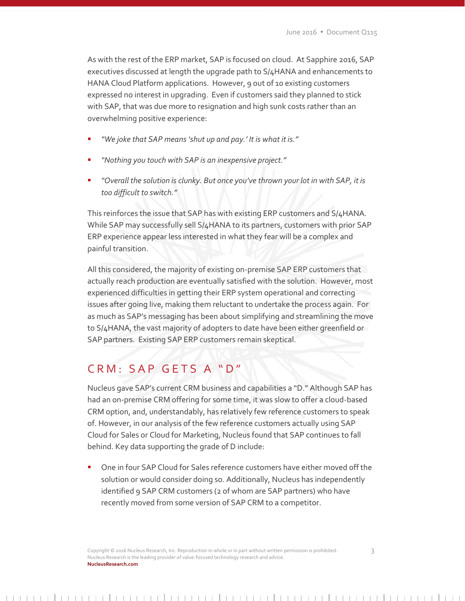As with the rest of the ERP market, SAP is focused on cloud. At Sapphire 2016, SAP executives discussed at length the upgrade path to S/4HANA and enhancements to HANA Cloud Platform applications. However, 9 out of 10 existing customers expressed no interest in upgrading. Even if customers said they planned to stick with SAP, that was due more to resignation and high sunk costs rather than an overwhelming positive experience:

- *"We joke that SAP means 'shut up and pay.' It is what it is."*
- *"Nothing you touch with SAP is an inexpensive project."*
- *"Overall the solution is clunky. But once you've thrown your lot in with SAP, it is too difficult to switch."*

This reinforces the issue that SAP has with existing ERP customers and S/4HANA. While SAP may successfully sell S/4HANA to its partners, customers with prior SAP ERP experience appear less interested in what they fear will be a complex and painful transition.

All this considered, the majority of existing on-premise SAP ERP customers that actually reach production are eventually satisfied with the solution. However, most experienced difficulties in getting their ERP system operational and correcting issues after going live, making them reluctant to undertake the process again. For as much as SAP's messaging has been about simplifying and streamlining the move to S/4HANA, the vast majority of adopters to date have been either greenfield or SAP partners. Existing SAP ERP customers remain skeptical.

#### CRM: SAP GETS A "D"

Nucleus gave SAP's current CRM business and capabilities a "D." Although SAP has had an on-premise CRM offering for some time, it was slow to offer a cloud-based CRM option, and, understandably, has relatively few reference customers to speak of. However, in our analysis of the few reference customers actually using SAP Cloud for Sales or Cloud for Marketing, Nucleus found that SAP continues to fall behind. Key data supporting the grade of D include:

 One in four SAP Cloud for Sales reference customers have either moved off the solution or would consider doing so. Additionally, Nucleus has independently identified 9 SAP CRM customers (2 of whom are SAP partners) who have recently moved from some version of SAP CRM to a competitor.

Copyright © 2016 Nucleus Research, Inc. Reproduction in whole or in part without written permission is prohibited. 3 Nucleus Research is the leading provider of value-focused technology research and advice. **NucleusResearch.com**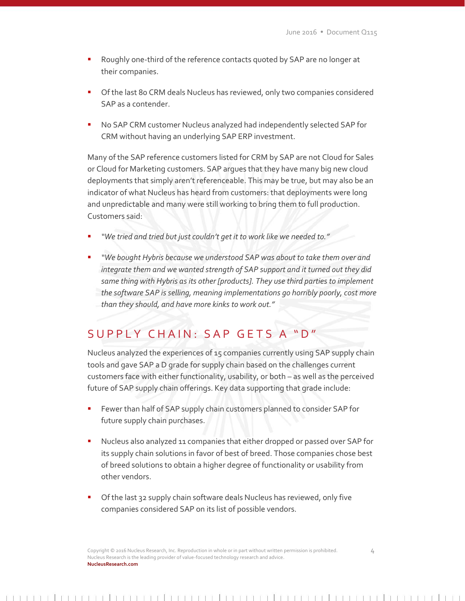- Roughly one-third of the reference contacts quoted by SAP are no longer at their companies.
- Of the last 80 CRM deals Nucleus has reviewed, only two companies considered SAP as a contender.
- No SAP CRM customer Nucleus analyzed had independently selected SAP for CRM without having an underlying SAP ERP investment.

Many of the SAP reference customers listed for CRM by SAP are not Cloud for Sales or Cloud for Marketing customers. SAP argues that they have many big new cloud deployments that simply aren't referenceable. This may be true, but may also be an indicator of what Nucleus has heard from customers: that deployments were long and unpredictable and many were still working to bring them to full production. Customers said:

- *"We tried and tried but just couldn't get it to work like we needed to."*
- *"We bought Hybris because we understood SAP was about to take them over and integrate them and we wanted strength of SAP support and it turned out they did same thing with Hybris as its other [products]. They use third parties to implement the software SAP is selling, meaning implementations go horribly poorly, cost more than they should, and have more kinks to work out."*

## SUPPLY CHAIN: SAP GETS A "D"

Nucleus analyzed the experiences of 15 companies currently using SAP supply chain tools and gave SAP a D grade for supply chain based on the challenges current customers face with either functionality, usability, or both – as well as the perceived future of SAP supply chain offerings. Key data supporting that grade include:

- Fewer than half of SAP supply chain customers planned to consider SAP for future supply chain purchases.
- Nucleus also analyzed 11 companies that either dropped or passed over SAP for its supply chain solutions in favor of best of breed. Those companies chose best of breed solutions to obtain a higher degree of functionality or usability from other vendors.
- Of the last 32 supply chain software deals Nucleus has reviewed, only five companies considered SAP on its list of possible vendors.

Copyright © 2016 Nucleus Research, Inc. Reproduction in whole or in part without written permission is prohibited. 4 Nucleus Research is the leading provider of value-focused technology research and advice. **NucleusResearch.com**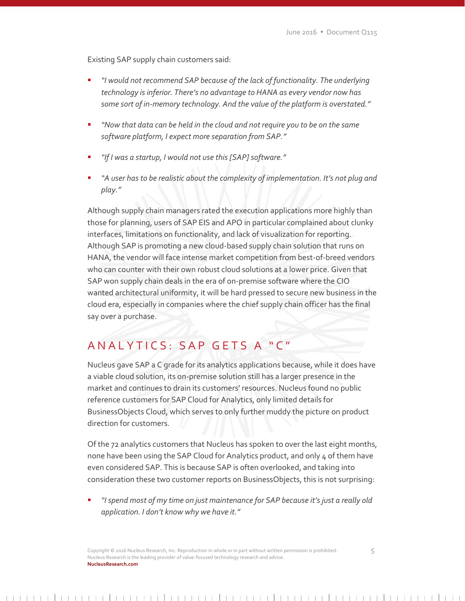Existing SAP supply chain customers said:

- *"I would not recommend SAP because of the lack of functionality. The underlying technology is inferior. There's no advantage to HANA as every vendor now has some sort of in-memory technology. And the value of the platform is overstated."*
- *"Now that data can be held in the cloud and not require you to be on the same software platform, I expect more separation from SAP."*
- *"If I was a startup, I would not use this [SAP]software."*
- *"A user has to be realistic about the complexity of implementation. It's not plug and play."*

Although supply chain managers rated the execution applications more highly than those for planning, users of SAP EIS and APO in particular complained about clunky interfaces, limitations on functionality, and lack of visualization for reporting. Although SAP is promoting a new cloud-based supply chain solution that runs on HANA, the vendor will face intense market competition from best-of-breed vendors who can counter with their own robust cloud solutions at a lower price. Given that SAP won supply chain deals in the era of on-premise software where the CIO wanted architectural uniformity, it will be hard pressed to secure new business in the cloud era, especially in companies where the chief supply chain officer has the final say over a purchase.

### A N A L Y T I C S : S A P G E T S A " C"

Nucleus gave SAP a C grade for its analytics applications because, while it does have a viable cloud solution, its on-premise solution still has a larger presence in the market and continues to drain its customers' resources. Nucleus found no public reference customers for SAP Cloud for Analytics, only limited details for BusinessObjects Cloud, which serves to only further muddy the picture on product direction for customers.

Of the 72 analytics customers that Nucleus has spoken to over the last eight months, none have been using the SAP Cloud for Analytics product, and only 4 of them have even considered SAP. This is because SAP is often overlooked, and taking into consideration these two customer reports on BusinessObjects, this is not surprising:

 *"I spend most of my time on just maintenance for SAP because it's just a really old application. I don't know why we have it."*

Copyright © 2016 Nucleus Research, Inc. Reproduction in whole or in part without written permission is prohibited. 5 Nucleus Research is the leading provider of value-focused technology research and advice. **NucleusResearch.com**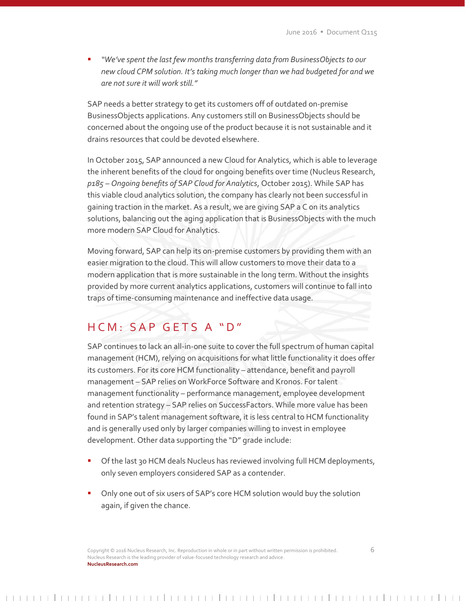*"We've spent the last few months transferring data from BusinessObjects to our new cloud CPM solution. It's taking much longer than we had budgeted for and we are not sure it will work still."*

SAP needs a better strategy to get its customers off of outdated on-premise BusinessObjects applications. Any customers still on BusinessObjects should be concerned about the ongoing use of the product because it is not sustainable and it drains resources that could be devoted elsewhere.

In October 2015, SAP announced a new Cloud for Analytics, which is able to leverage the inherent benefits of the cloud for ongoing benefits over time (Nucleus Research, *p185 – Ongoing benefits of SAP Cloud for Analytics*, October 2015). While SAP has this viable cloud analytics solution, the company has clearly not been successful in gaining traction in the market. As a result, we are giving SAP a C on its analytics solutions, balancing out the aging application that is BusinessObjects with the much more modern SAP Cloud for Analytics.

Moving forward, SAP can help its on-premise customers by providing them with an easier migration to the cloud. This will allow customers to move their data to a modern application that is more sustainable in the long term. Without the insights provided by more current analytics applications, customers will continue to fall into traps of time-consuming maintenance and ineffective data usage.

#### H C M : S A P G E T S A " D"

SAP continues to lack an all-in-one suite to cover the full spectrum of human capital management (HCM), relying on acquisitions for what little functionality it does offer its customers. For its core HCM functionality – attendance, benefit and payroll management – SAP relies on WorkForce Software and Kronos. For talent management functionality – performance management, employee development and retention strategy – SAP relies on SuccessFactors. While more value has been found in SAP's talent management software, it is less central to HCM functionality and is generally used only by larger companies willing to invest in employee development. Other data supporting the "D" grade include:

- **•** Of the last 30 HCM deals Nucleus has reviewed involving full HCM deployments, only seven employers considered SAP as a contender.
- Only one out of six users of SAP's core HCM solution would buy the solution again, if given the chance.

Copyright © 2016 Nucleus Research, Inc. Reproduction in whole or in part without written permission is prohibited. 6 Nucleus Research is the leading provider of value-focused technology research and advice. **NucleusResearch.com**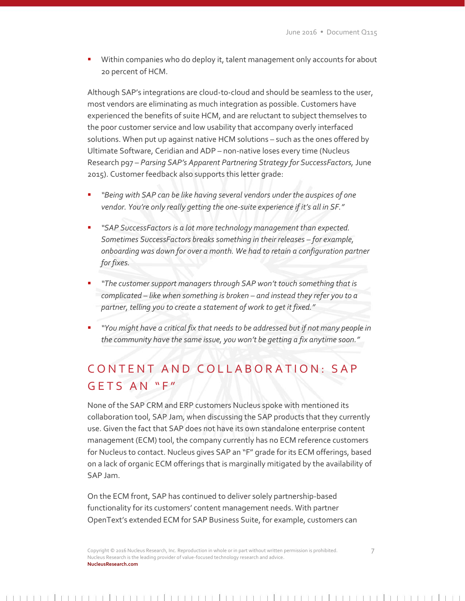Within companies who do deploy it, talent management only accounts for about 20 percent of HCM.

Although SAP's integrations are cloud-to-cloud and should be seamless to the user, most vendors are eliminating as much integration as possible. Customers have experienced the benefits of suite HCM, and are reluctant to subject themselves to the poor customer service and low usability that accompany overly interfaced solutions. When put up against native HCM solutions – such as the ones offered by Ultimate Software, Ceridian and ADP – non-native loses every time (Nucleus Research p97 – *Parsing SAP's Apparent Partnering Strategy for SuccessFactors,* June 2015). Customer feedback also supports this letter grade:

- *"Being with SAP can be like having several vendors under the auspices of one vendor. You're only really getting the one-suite experience if it's all in SF."*
- *"SAP SuccessFactors is a lot more technology management than expected. Sometimes SuccessFactors breaks something in their releases – for example, onboarding was down for over a month. We had to retain a configuration partner for fixes.*
- *"The customer support managers through SAP won't touch something that is complicated – like when something is broken – and instead they refer you to a partner, telling you to create a statement of work to get it fixed."*
- *"You might have a critical fix that needs to be addressed but if not many people in the community have the same issue, you won't be getting a fix anytime soon."*

## CONTENT AND COLLABORATION: SAP  $G$  E T S A N "F"

None of the SAP CRM and ERP customers Nucleus spoke with mentioned its collaboration tool, SAP Jam, when discussing the SAP products that they currently use. Given the fact that SAP does not have its own standalone enterprise content management (ECM) tool, the company currently has no ECM reference customers for Nucleus to contact. Nucleus gives SAP an "F" grade for its ECM offerings, based on a lack of organic ECM offerings that is marginally mitigated by the availability of SAP Jam.

On the ECM front, SAP has continued to deliver solely partnership-based functionality for its customers' content management needs. With partner OpenText's extended ECM for SAP Business Suite, for example, customers can

Copyright © 2016 Nucleus Research, Inc. Reproduction in whole or in part without written permission is prohibited. 7 Nucleus Research is the leading provider of value-focused technology research and advice. **NucleusResearch.com**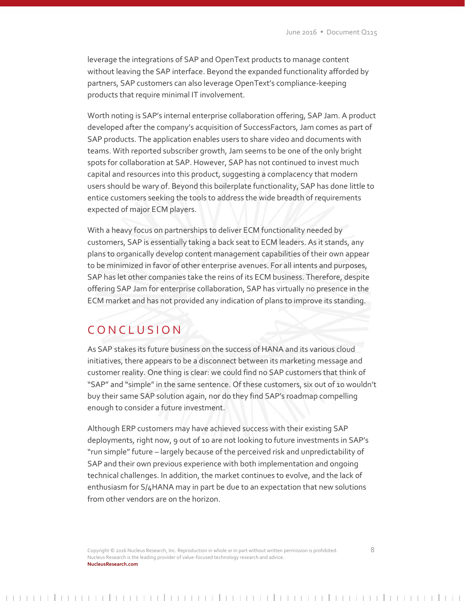leverage the integrations of SAP and OpenText products to manage content without leaving the SAP interface. Beyond the expanded functionality afforded by partners, SAP customers can also leverage OpenText's compliance-keeping products that require minimal IT involvement.

Worth noting is SAP's internal enterprise collaboration offering, SAP Jam. A product developed after the company's acquisition of SuccessFactors, Jam comes as part of SAP products. The application enables users to share video and documents with teams. With reported subscriber growth, Jam seems to be one of the only bright spots for collaboration at SAP. However, SAP has not continued to invest much capital and resources into this product, suggesting a complacency that modern users should be wary of. Beyond this boilerplate functionality, SAP has done little to entice customers seeking the tools to address the wide breadth of requirements expected of major ECM players.

With a heavy focus on partnerships to deliver ECM functionality needed by customers, SAP is essentially taking a back seat to ECM leaders. As it stands, any plans to organically develop content management capabilities of their own appear to be minimized in favor of other enterprise avenues. For all intents and purposes, SAP has let other companies take the reins of its ECM business. Therefore, despite offering SAP Jam for enterprise collaboration, SAP has virtually no presence in the ECM market and has not provided any indication of plans to improve its standing.

#### C O N C L U S I O N

As SAP stakes its future business on the success of HANA and its various cloud initiatives, there appears to be a disconnect between its marketing message and customer reality. One thing is clear: we could find no SAP customers that think of "SAP" and "simple" in the same sentence. Of these customers, six out of 10 wouldn't buy their same SAP solution again, nor do they find SAP's roadmap compelling enough to consider a future investment.

Although ERP customers may have achieved success with their existing SAP deployments, right now, 9 out of 10 are not looking to future investments in SAP's "run simple" future – largely because of the perceived risk and unpredictability of SAP and their own previous experience with both implementation and ongoing technical challenges. In addition, the market continues to evolve, and the lack of enthusiasm for S/4HANA may in part be due to an expectation that new solutions from other vendors are on the horizon.

Copyright © 2016 Nucleus Research, Inc. Reproduction in whole or in part without written permission is prohibited. 8 Nucleus Research is the leading provider of value-focused technology research and advice. **NucleusResearch.com**